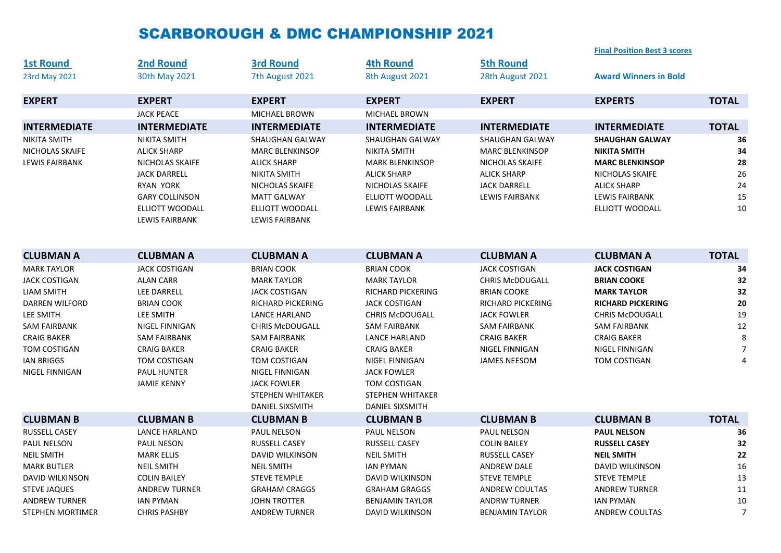## SCARBOROUGH & DMC CHAMPIONSHIP 2021

|                         |                       |                         |                          |                          | <b>Final Position Best 3 scores</b> |                |
|-------------------------|-----------------------|-------------------------|--------------------------|--------------------------|-------------------------------------|----------------|
| <b>1st Round</b>        | <b>2nd Round</b>      | <b>3rd Round</b>        | <b>4th Round</b>         | <b>5th Round</b>         |                                     |                |
| 23rd May 2021           | 30th May 2021         | 7th August 2021         | 8th August 2021          | 28th August 2021         | <b>Award Winners in Bold</b>        |                |
| <b>EXPERT</b>           | <b>EXPERT</b>         | <b>EXPERT</b>           | <b>EXPERT</b>            | <b>EXPERT</b>            | <b>EXPERTS</b>                      | <b>TOTAL</b>   |
|                         | <b>JACK PEACE</b>     | <b>MICHAEL BROWN</b>    | <b>MICHAEL BROWN</b>     |                          |                                     |                |
| <b>INTERMEDIATE</b>     | <b>INTERMEDIATE</b>   | <b>INTERMEDIATE</b>     | <b>INTERMEDIATE</b>      | <b>INTERMEDIATE</b>      | <b>INTERMEDIATE</b>                 | <b>TOTAL</b>   |
| <b>NIKITA SMITH</b>     | <b>NIKITA SMITH</b>   | SHAUGHAN GALWAY         | SHAUGHAN GALWAY          | SHAUGHAN GALWAY          | <b>SHAUGHAN GALWAY</b>              | 36             |
| NICHOLAS SKAIFE         | <b>ALICK SHARP</b>    | <b>MARC BLENKINSOP</b>  | <b>NIKITA SMITH</b>      | <b>MARC BLENKINSOP</b>   | <b>NIKITA SMITH</b>                 | 34             |
| <b>LEWIS FAIRBANK</b>   | NICHOLAS SKAIFE       | <b>ALICK SHARP</b>      | <b>MARK BLENKINSOP</b>   | NICHOLAS SKAIFE          | <b>MARC BLENKINSOP</b>              | 28             |
|                         | <b>JACK DARRELL</b>   | <b>NIKITA SMITH</b>     | <b>ALICK SHARP</b>       | <b>ALICK SHARP</b>       | NICHOLAS SKAIFE                     | 26             |
|                         | <b>RYAN YORK</b>      | NICHOLAS SKAIFE         | NICHOLAS SKAIFE          | <b>JACK DARRELL</b>      | <b>ALICK SHARP</b>                  | 24             |
|                         | <b>GARY COLLINSON</b> | <b>MATT GALWAY</b>      | ELLIOTT WOODALL          | LEWIS FAIRBANK           | <b>LEWIS FAIRBANK</b>               | 15             |
|                         | ELLIOTT WOODALL       | ELLIOTT WOODALL         | <b>LEWIS FAIRBANK</b>    |                          | ELLIOTT WOODALL                     | 10             |
|                         | LEWIS FAIRBANK        | <b>LEWIS FAIRBANK</b>   |                          |                          |                                     |                |
| <b>CLUBMAN A</b>        | <b>CLUBMAN A</b>      | <b>CLUBMAN A</b>        | <b>CLUBMAN A</b>         | <b>CLUBMAN A</b>         | <b>CLUBMAN A</b>                    | <b>TOTAL</b>   |
|                         |                       |                         |                          |                          |                                     |                |
| <b>MARK TAYLOR</b>      | <b>JACK COSTIGAN</b>  | <b>BRIAN COOK</b>       | <b>BRIAN COOK</b>        | <b>JACK COSTIGAN</b>     | <b>JACK COSTIGAN</b>                | 34             |
| <b>JACK COSTIGAN</b>    | <b>ALAN CARR</b>      | <b>MARK TAYLOR</b>      | <b>MARK TAYLOR</b>       | <b>CHRIS McDOUGALL</b>   | <b>BRIAN COOKE</b>                  | 32             |
| <b>LIAM SMITH</b>       | <b>LEE DARRELL</b>    | <b>JACK COSTIGAN</b>    | <b>RICHARD PICKERING</b> | <b>BRIAN COOKE</b>       | <b>MARK TAYLOR</b>                  | 32             |
| DARREN WILFORD          | <b>BRIAN COOK</b>     | RICHARD PICKERING       | <b>JACK COSTIGAN</b>     | <b>RICHARD PICKERING</b> | <b>RICHARD PICKERING</b>            | 20             |
| <b>LEE SMITH</b>        | <b>LEE SMITH</b>      | <b>LANCE HARLAND</b>    | <b>CHRIS McDOUGALL</b>   | <b>JACK FOWLER</b>       | <b>CHRIS McDOUGALL</b>              | 19             |
| <b>SAM FAIRBANK</b>     | NIGEL FINNIGAN        | <b>CHRIS McDOUGALL</b>  | <b>SAM FAIRBANK</b>      | <b>SAM FAIRBANK</b>      | <b>SAM FAIRBANK</b>                 | 12             |
| <b>CRAIG BAKER</b>      | <b>SAM FAIRBANK</b>   | <b>SAM FAIRBANK</b>     | <b>LANCE HARLAND</b>     | <b>CRAIG BAKER</b>       | <b>CRAIG BAKER</b>                  | $\,8\,$        |
| TOM COSTIGAN            | <b>CRAIG BAKER</b>    | <b>CRAIG BAKER</b>      | <b>CRAIG BAKER</b>       | <b>NIGEL FINNIGAN</b>    | NIGEL FINNIGAN                      | $\overline{7}$ |
| <b>IAN BRIGGS</b>       | <b>TOM COSTIGAN</b>   | TOM COSTIGAN            | NIGEL FINNIGAN           | <b>JAMES NEESOM</b>      | TOM COSTIGAN                        | 4              |
| NIGEL FINNIGAN          | PAUL HUNTER           | NIGEL FINNIGAN          | <b>JACK FOWLER</b>       |                          |                                     |                |
|                         | <b>JAMIE KENNY</b>    | <b>JACK FOWLER</b>      | TOM COSTIGAN             |                          |                                     |                |
|                         |                       | <b>STEPHEN WHITAKER</b> | <b>STEPHEN WHITAKER</b>  |                          |                                     |                |
|                         |                       | DANIEL SIXSMITH         | <b>DANIEL SIXSMITH</b>   |                          |                                     |                |
| <b>CLUBMAN B</b>        | <b>CLUBMAN B</b>      | <b>CLUBMAN B</b>        | <b>CLUBMAN B</b>         | <b>CLUBMAN B</b>         | <b>CLUBMAN B</b>                    | <b>TOTAL</b>   |
| <b>RUSSELL CASEY</b>    | <b>LANCE HARLAND</b>  | PAUL NELSON             | PAUL NELSON              | <b>PAUL NELSON</b>       | <b>PAUL NELSON</b>                  | 36             |
| PAUL NELSON             | <b>PAUL NESON</b>     | <b>RUSSELL CASEY</b>    | RUSSELL CASEY            | <b>COLIN BAILEY</b>      | <b>RUSSELL CASEY</b>                | 32             |
| <b>NEIL SMITH</b>       | <b>MARK ELLIS</b>     | <b>DAVID WILKINSON</b>  | <b>NEIL SMITH</b>        | <b>RUSSELL CASEY</b>     | <b>NEIL SMITH</b>                   | 22             |
| <b>MARK BUTLER</b>      | <b>NEIL SMITH</b>     | <b>NEIL SMITH</b>       | <b>IAN PYMAN</b>         | <b>ANDREW DALE</b>       | DAVID WILKINSON                     | 16             |
| DAVID WILKINSON         | <b>COLIN BAILEY</b>   | <b>STEVE TEMPLE</b>     | DAVID WILKINSON          | <b>STEVE TEMPLE</b>      | <b>STEVE TEMPLE</b>                 | 13             |
| <b>STEVE JAQUES</b>     | <b>ANDREW TURNER</b>  | <b>GRAHAM CRAGGS</b>    | <b>GRAHAM GRAGGS</b>     | <b>ANDREW COULTAS</b>    | <b>ANDREW TURNER</b>                | 11             |
| <b>ANDREW TURNER</b>    | <b>IAN PYMAN</b>      | <b>JOHN TROTTER</b>     | <b>BENJAMIN TAYLOR</b>   | <b>ANDRW TURNER</b>      | <b>IAN PYMAN</b>                    | 10             |
| <b>STEPHEN MORTIMER</b> | <b>CHRIS PASHBY</b>   | <b>ANDREW TURNER</b>    | <b>DAVID WILKINSON</b>   | <b>BENJAMIN TAYLOR</b>   | <b>ANDREW COULTAS</b>               | $\overline{7}$ |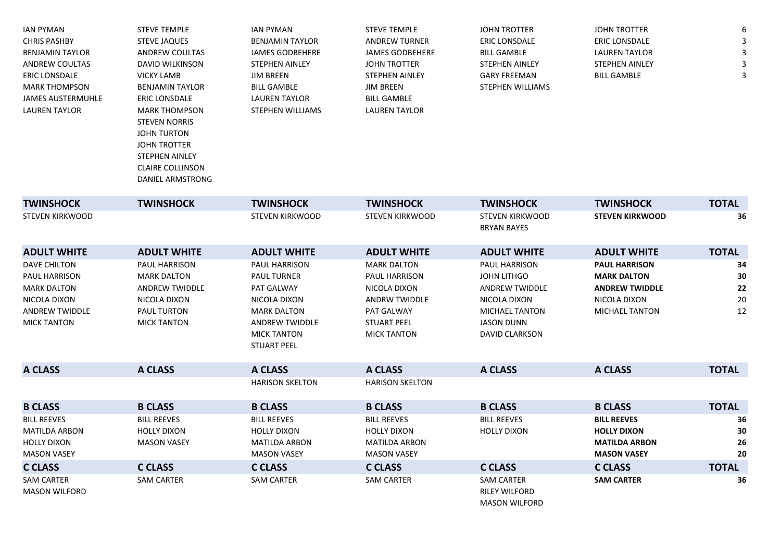| <b>JAN PYMAN</b>       | <b>STEVE TEMPLE</b>    | IAN PYMAN              | <b>STEVE TEMPLE</b>   | <b>JOHN TROTTER</b>   | <b>JOHN TROTTER</b>   | 6 |
|------------------------|------------------------|------------------------|-----------------------|-----------------------|-----------------------|---|
| <b>CHRIS PASHBY</b>    | <b>STEVE JAQUES</b>    | BENJAMIN TAYLOR        | ANDREW TURNER         | <b>ERIC LONSDALE</b>  | <b>ERIC LONSDALE</b>  |   |
| <b>BENJAMIN TAYLOR</b> | ANDREW COULTAS         | <b>JAMES GODBEHERE</b> | JAMES GODBEHERE       | <b>BILL GAMBLE</b>    | <b>LAUREN TAYLOR</b>  |   |
| ANDREW COULTAS         | DAVID WILKINSON        | <b>STEPHEN AINLEY</b>  | <b>JOHN TROTTER</b>   | <b>STEPHEN AINLEY</b> | <b>STEPHEN AINLEY</b> |   |
| ERIC LONSDALE          | VICKY LAMB             | JIM BREEN              | <b>STEPHEN AINLEY</b> | <b>GARY FREEMAN</b>   | BILL GAMBLE           |   |
| MARK THOMPSON          | <b>BENJAMIN TAYLOR</b> | <b>BILL GAMBLE</b>     | JIM BREEN             | STEPHEN WILLIAMS      |                       |   |
| JAMES AUSTERMUHLE      | <b>ERIC LONSDALE</b>   | <b>LAUREN TAYLOR</b>   | BILL GAMBLE           |                       |                       |   |
| LAUREN TAYLOR          | <b>MARK THOMPSON</b>   | STEPHEN WILLIAMS       | LAUREN TAYLOR         |                       |                       |   |
|                        | <b>STEVEN NORRIS</b>   |                        |                       |                       |                       |   |
|                        | <b>JOHN TURTON</b>     |                        |                       |                       |                       |   |

JOHN TROTTER STEPHEN AINLEY CLAIRE COLLINSON DANIEL ARMSTRONG

| <b>TWINSHOCK</b>                                                                                                          | <b>TWINSHOCK</b>                                                                                                                | <b>TWINSHOCK</b>                                                                                                                                             | <b>TWINSHOCK</b>                                                                                                                             | <b>TWINSHOCK</b>                                                                                                                                    | <b>TWINSHOCK</b>                                                                                             | <b>TOTAL</b>               |
|---------------------------------------------------------------------------------------------------------------------------|---------------------------------------------------------------------------------------------------------------------------------|--------------------------------------------------------------------------------------------------------------------------------------------------------------|----------------------------------------------------------------------------------------------------------------------------------------------|-----------------------------------------------------------------------------------------------------------------------------------------------------|--------------------------------------------------------------------------------------------------------------|----------------------------|
| <b>STEVEN KIRKWOOD</b>                                                                                                    |                                                                                                                                 | <b>STEVEN KIRKWOOD</b>                                                                                                                                       | <b>STEVEN KIRKWOOD</b>                                                                                                                       | <b>STEVEN KIRKWOOD</b><br><b>BRYAN BAYES</b>                                                                                                        | <b>STEVEN KIRKWOOD</b>                                                                                       | 36                         |
| <b>ADULT WHITE</b>                                                                                                        | <b>ADULT WHITE</b>                                                                                                              | <b>ADULT WHITE</b>                                                                                                                                           | <b>ADULT WHITE</b>                                                                                                                           | <b>ADULT WHITE</b>                                                                                                                                  | <b>ADULT WHITE</b>                                                                                           | <b>TOTAL</b>               |
| <b>DAVE CHILTON</b><br>PAUL HARRISON<br><b>MARK DALTON</b><br>NICOLA DIXON<br><b>ANDREW TWIDDLE</b><br><b>MICK TANTON</b> | <b>PAUL HARRISON</b><br><b>MARK DALTON</b><br><b>ANDREW TWIDDLE</b><br>NICOLA DIXON<br><b>PAUL TURTON</b><br><b>MICK TANTON</b> | <b>PAUL HARRISON</b><br><b>PAUL TURNER</b><br>PAT GALWAY<br>NICOLA DIXON<br><b>MARK DALTON</b><br>ANDREW TWIDDLE<br><b>MICK TANTON</b><br><b>STUART PEEL</b> | <b>MARK DALTON</b><br><b>PAUL HARRISON</b><br>NICOLA DIXON<br><b>ANDRW TWIDDLE</b><br>PAT GALWAY<br><b>STUART PEEL</b><br><b>MICK TANTON</b> | <b>PAUL HARRISON</b><br><b>JOHN LITHGO</b><br><b>ANDREW TWIDDLE</b><br>NICOLA DIXON<br><b>MICHAEL TANTON</b><br><b>JASON DUNN</b><br>DAVID CLARKSON | <b>PAUL HARRISON</b><br><b>MARK DALTON</b><br><b>ANDREW TWIDDLE</b><br>NICOLA DIXON<br><b>MICHAEL TANTON</b> | 34<br>30<br>22<br>20<br>12 |
| A CLASS                                                                                                                   | A CLASS                                                                                                                         | A CLASS                                                                                                                                                      | A CLASS                                                                                                                                      | A CLASS                                                                                                                                             | A CLASS                                                                                                      | <b>TOTAL</b>               |
|                                                                                                                           |                                                                                                                                 | <b>HARISON SKELTON</b>                                                                                                                                       | <b>HARISON SKELTON</b>                                                                                                                       |                                                                                                                                                     |                                                                                                              |                            |
| <b>B CLASS</b>                                                                                                            | <b>B CLASS</b>                                                                                                                  | <b>B CLASS</b>                                                                                                                                               | <b>B CLASS</b>                                                                                                                               | <b>B CLASS</b>                                                                                                                                      | <b>B CLASS</b>                                                                                               | <b>TOTAL</b>               |
| <b>BILL REEVES</b><br><b>MATILDA ARBON</b><br><b>HOLLY DIXON</b><br><b>MASON VASEY</b>                                    | <b>BILL REEVES</b><br><b>HOLLY DIXON</b><br><b>MASON VASEY</b>                                                                  | <b>BILL REEVES</b><br><b>HOLLY DIXON</b><br><b>MATILDA ARBON</b><br><b>MASON VASEY</b>                                                                       | <b>BILL REEVES</b><br><b>HOLLY DIXON</b><br><b>MATILDA ARBON</b><br><b>MASON VASEY</b>                                                       | <b>BILL REEVES</b><br><b>HOLLY DIXON</b>                                                                                                            | <b>BILL REEVES</b><br><b>HOLLY DIXON</b><br><b>MATILDA ARBON</b><br><b>MASON VASEY</b>                       | 36<br>30<br>26<br>20       |
| <b>C CLASS</b>                                                                                                            | C CLASS                                                                                                                         | <b>C CLASS</b>                                                                                                                                               | <b>C CLASS</b>                                                                                                                               | <b>C CLASS</b>                                                                                                                                      | <b>C CLASS</b>                                                                                               | <b>TOTAL</b>               |
| <b>SAM CARTER</b><br><b>MASON WILFORD</b>                                                                                 | <b>SAM CARTER</b>                                                                                                               | <b>SAM CARTER</b>                                                                                                                                            | <b>SAM CARTER</b>                                                                                                                            | <b>SAM CARTER</b><br><b>RILEY WILFORD</b><br><b>MASON WILFORD</b>                                                                                   | <b>SAM CARTER</b>                                                                                            | 36                         |